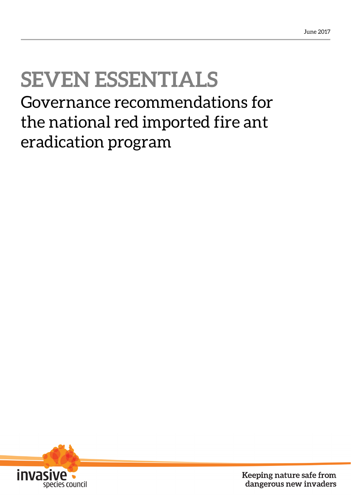# **SEVEN ESSENTIALS**

Governance recommendations for the national red imported fire ant eradication program



Keeping nature safe from dangerous new invaders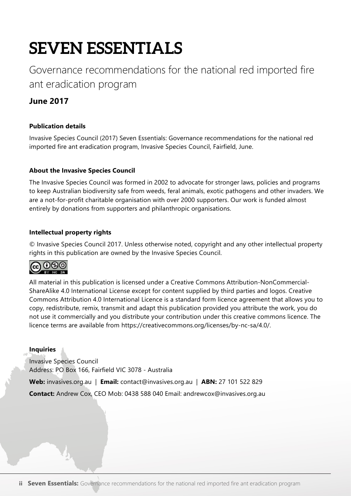# **SEVEN ESSENTIALS**

# Governance recommendations for the national red imported fire ant eradication program

## **June 2017**

### **Publication details**

Invasive Species Council (2017) Seven Essentials: Governance recommendations for the national red imported fire ant eradication program, Invasive Species Council, Fairfield, June.

### **About the Invasive Species Council**

The Invasive Species Council was formed in 2002 to advocate for stronger laws, policies and programs to keep Australian biodiversity safe from weeds, feral animals, exotic pathogens and other invaders. We are a not-for-profit charitable organisation with over 2000 supporters. Our work is funded almost entirely by donations from supporters and philanthropic organisations.

### **Intellectual property rights**

© Invasive Species Council 2017. Unless otherwise noted, copyright and any other intellectual property rights in this publication are owned by the Invasive Species Council.



All material in this publication is licensed under a Creative Commons Attribution-NonCommercial-ShareAlike 4.0 International License except for content supplied by third parties and logos. Creative Commons Attribution 4.0 International Licence is a standard form licence agreement that allows you to copy, redistribute, remix, transmit and adapt this publication provided you attribute the work, you do not use it commercially and you distribute your contribution under this creative commons licence. The licence terms are available from https://creativecommons.org/licenses/by-nc-sa/4.0/.

#### **Inquiries**

Invasive Species Council Address: PO Box 166, Fairfield VIC 3078 - Australia **Web:** invasives.org.au | **Email:** contact@invasives.org.au | **ABN:** 27 101 522 829 **Contact:** Andrew Cox, CEO Mob: 0438 588 040 Email: andrewcox@invasives.org.au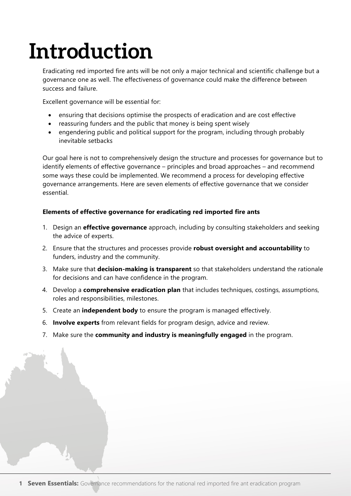# **Introduction**

Eradicating red imported fire ants will be not only a major technical and scientific challenge but a governance one as well. The effectiveness of governance could make the difference between success and failure.

Excellent governance will be essential for:

- ensuring that decisions optimise the prospects of eradication and are cost effective
- reassuring funders and the public that money is being spent wisely
- engendering public and political support for the program, including through probably inevitable setbacks

Our goal here is not to comprehensively design the structure and processes for governance but to identify elements of effective governance – principles and broad approaches – and recommend some ways these could be implemented. We recommend a process for developing effective governance arrangements. Here are seven elements of effective governance that we consider essential.

#### **Elements of effective governance for eradicating red imported fire ants**

- 1. Design an **effective governance** approach, including by consulting stakeholders and seeking the advice of experts.
- 2. Ensure that the structures and processes provide **robust oversight and accountability** to funders, industry and the community.
- 3. Make sure that **decision-making is transparent** so that stakeholders understand the rationale for decisions and can have confidence in the program.
- 4. Develop a **comprehensive eradication plan** that includes techniques, costings, assumptions, roles and responsibilities, milestones.
- 5. Create an **independent body** to ensure the program is managed effectively.
- 6. **Involve experts** from relevant fields for program design, advice and review.
- 7. Make sure the **community and industry is meaningfully engaged** in the program.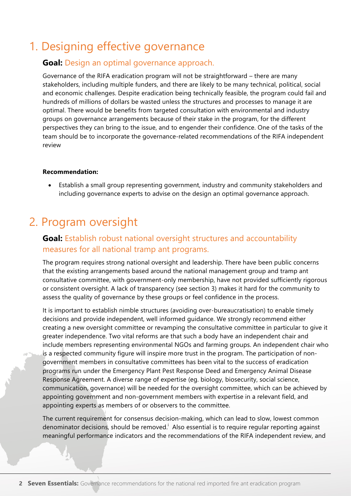# 1. Designing effective governance

## **Goal:** Design an optimal governance approach.

Governance of the RIFA eradication program will not be straightforward – there are many stakeholders, including multiple funders, and there are likely to be many technical, political, social and economic challenges. Despite eradication being technically feasible, the program could fail and hundreds of millions of dollars be wasted unless the structures and processes to manage it are optimal. There would be benefits from targeted consultation with environmental and industry groups on governance arrangements because of their stake in the program, for the different perspectives they can bring to the issue, and to engender their confidence. One of the tasks of the team should be to incorporate the governance-related recommendations of the RIFA independent review

#### **Recommendation:**

• Establish a small group representing government, industry and community stakeholders and including governance experts to advise on the design an optimal governance approach.

# 2. Program oversight

## **Goal:** Establish robust national oversight structures and accountability measures for all national tramp ant programs.

The program requires strong national oversight and leadership. There have been public concerns that the existing arrangements based around the national management group and tramp ant consultative committee, with government-only membership, have not provided sufficiently rigorous or consistent oversight. A lack of transparency (see section 3) makes it hard for the community to assess the quality of governance by these groups or feel confidence in the process.

It is important to establish nimble structures (avoiding over-bureaucratisation) to enable timely decisions and provide independent, well informed guidance. We strongly recommend either creating a new oversight committee or revamping the consultative committee in particular to give it greater independence. Two vital reforms are that such a body have an independent chair and include members representing environmental NGOs and farming groups. An independent chair who is a respected community figure will inspire more trust in the program. The participation of nongovernment members in consultative committees has been vital to the success of eradication programs run under the Emergency Plant Pest Response Deed and Emergency Animal Disease Response Agreement. A diverse range of expertise (eg. biology, biosecurity, social science, communication, governance) will be needed for the oversight committee, which can be achieved by appointing government and non-government members with expertise in a relevant field, and appointing experts as members of or observers to the committee.

The current requirement for consensus decision-making, which can lead to slow, lowest common denominator decisions, should be removed. Also essential is to require regular reporting against meaningful performance indicators and the recommendations of the RIFA independent review, and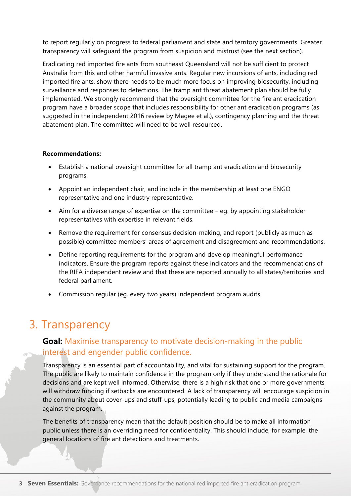to report regularly on progress to federal parliament and state and territory governments. Greater transparency will safeguard the program from suspicion and mistrust (see the next section).

Eradicating red imported fire ants from southeast Queensland will not be sufficient to protect Australia from this and other harmful invasive ants. Regular new incursions of ants, including red imported fire ants, show there needs to be much more focus on improving biosecurity, including surveillance and responses to detections. The tramp ant threat abatement plan should be fully implemented. We strongly recommend that the oversight committee for the fire ant eradication program have a broader scope that includes responsibility for other ant eradication programs (as suggested in the independent 2016 review by Magee et al.), contingency planning and the threat abatement plan. The committee will need to be well resourced.

#### **Recommendations:**

- Establish a national oversight committee for all tramp ant eradication and biosecurity programs.
- Appoint an independent chair, and include in the membership at least one ENGO representative and one industry representative.
- Aim for a diverse range of expertise on the committee eg. by appointing stakeholder representatives with expertise in relevant fields.
- Remove the requirement for consensus decision-making, and report (publicly as much as possible) committee members' areas of agreement and disagreement and recommendations.
- Define reporting requirements for the program and develop meaningful performance indicators. Ensure the program reports against these indicators and the recommendations of the RIFA independent review and that these are reported annually to all states/territories and federal parliament.
- Commission regular (eg. every two years) independent program audits.

# 3. Transparency

## **Goal:** Maximise transparency to motivate decision-making in the public interest and engender public confidence.

Transparency is an essential part of accountability, and vital for sustaining support for the program. The public are likely to maintain confidence in the program only if they understand the rationale for decisions and are kept well informed. Otherwise, there is a high risk that one or more governments will withdraw funding if setbacks are encountered. A lack of transparency will encourage suspicion in the community about cover-ups and stuff-ups, potentially leading to public and media campaigns against the program.

The benefits of transparency mean that the default position should be to make all information public unless there is an overriding need for confidentiality. This should include, for example, the general locations of fire ant detections and treatments.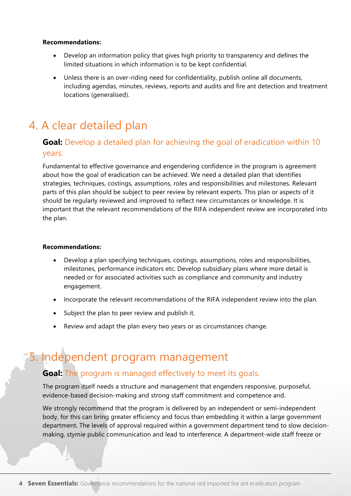#### **Recommendations:**

- Develop an information policy that gives high priority to transparency and defines the limited situations in which information is to be kept confidential.
- Unless there is an over-riding need for confidentiality, publish online all documents, including agendas, minutes, reviews, reports and audits and fire ant detection and treatment locations (generalised).

# 4. A clear detailed plan

## **Goal:** Develop a detailed plan for achieving the goal of eradication within 10 years.

Fundamental to effective governance and engendering confidence in the program is agreement about how the goal of eradication can be achieved. We need a detailed plan that identifies strategies, techniques, costings, assumptions, roles and responsibilities and milestones. Relevant parts of this plan should be subject to peer review by relevant experts. This plan or aspects of it should be regularly reviewed and improved to reflect new circumstances or knowledge. It is important that the relevant recommendations of the RIFA independent review are incorporated into the plan.

#### **Recommendations:**

- Develop a plan specifying techniques, costings, assumptions, roles and responsibilities, milestones, performance indicators etc. Develop subsidiary plans where more detail is needed or for associated activities such as compliance and community and industry engagement.
- Incorporate the relevant recommendations of the RIFA independent review into the plan.
- Subject the plan to peer review and publish it.
- Review and adapt the plan every two years or as circumstances change.

# 5. Independent program management

## **Goal:** The program is managed effectively to meet its goals.

The program itself needs a structure and management that engenders responsive, purposeful, evidence-based decision-making and strong staff commitment and competence and.

We strongly recommend that the program is delivered by an independent or semi-independent body, for this can bring greater efficiency and focus than embedding it within a large government department. The levels of approval required within a government department tend to slow decisionmaking, stymie public communication and lead to interference. A department-wide staff freeze or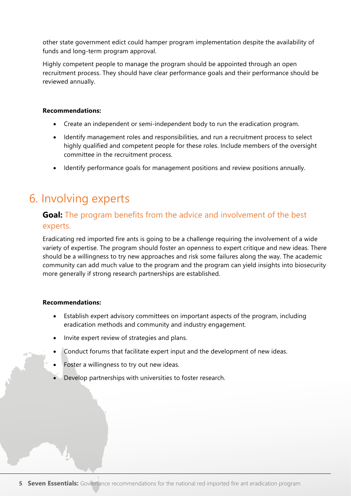other state government edict could hamper program implementation despite the availability of funds and long-term program approval.

Highly competent people to manage the program should be appointed through an open recruitment process. They should have clear performance goals and their performance should be reviewed annually.

#### **Recommendations:**

- Create an independent or semi-independent body to run the eradication program.
- Identify management roles and responsibilities, and run a recruitment process to select highly qualified and competent people for these roles. Include members of the oversight committee in the recruitment process.
- Identify performance goals for management positions and review positions annually.

# 6. Involving experts

## **Goal:** The program benefits from the advice and involvement of the best experts.

Eradicating red imported fire ants is going to be a challenge requiring the involvement of a wide variety of expertise. The program should foster an openness to expert critique and new ideas. There should be a willingness to try new approaches and risk some failures along the way. The academic community can add much value to the program and the program can yield insights into biosecurity more generally if strong research partnerships are established.

#### **Recommendations:**

- Establish expert advisory committees on important aspects of the program, including eradication methods and community and industry engagement.
- Invite expert review of strategies and plans.
- Conduct forums that facilitate expert input and the development of new ideas.
- Foster a willingness to try out new ideas.
- Develop partnerships with universities to foster research.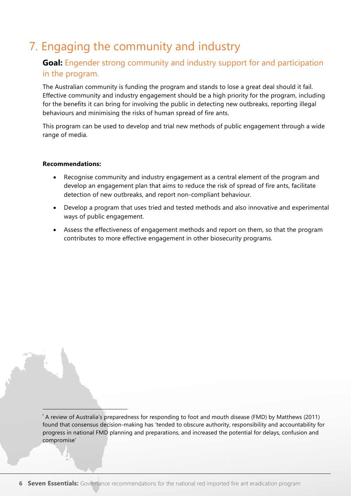# 7. Engaging the community and industry

## **Goal:** Engender strong community and industry support for and participation in the program.

The Australian community is funding the program and stands to lose a great deal should it fail. Effective community and industry engagement should be a high priority for the program, including for the benefits it can bring for involving the public in detecting new outbreaks, reporting illegal behaviours and minimising the risks of human spread of fire ants.

This program can be used to develop and trial new methods of public engagement through a wide range of media.

#### **Recommendations:**

- Recognise community and industry engagement as a central element of the program and develop an engagement plan that aims to reduce the risk of spread of fire ants, facilitate detection of new outbreaks, and report non-compliant behaviour.
- Develop a program that uses tried and tested methods and also innovative and experimental ways of public engagement.
- Assess the effectiveness of engagement methods and report on them, so that the program contributes to more effective engagement in other biosecurity programs.

<sup>i</sup> A review of Australia's preparedness for responding to foot and mouth disease (FMD) by Matthews (2011) found that consensus decision-making has 'tended to obscure authority, responsibility and accountability for progress in national FMD planning and preparations, and increased the potential for delays, confusion and compromise'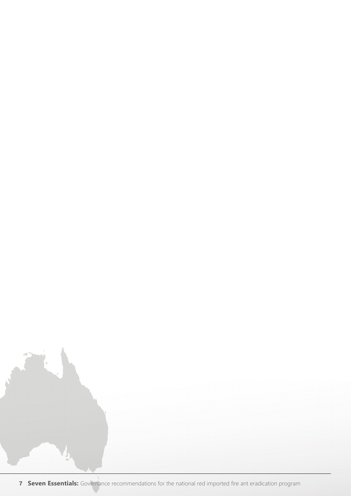